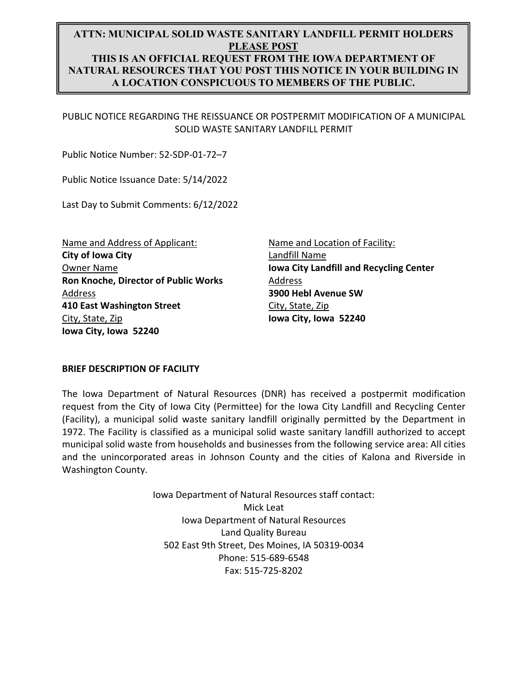# **ATTN: MUNICIPAL SOLID WASTE SANITARY LANDFILL PERMIT HOLDERS PLEASE POST THIS IS AN OFFICIAL REQUEST FROM THE IOWA DEPARTMENT OF NATURAL RESOURCES THAT YOU POST THIS NOTICE IN YOUR BUILDING IN A LOCATION CONSPICUOUS TO MEMBERS OF THE PUBLIC.**

PUBLIC NOTICE REGARDING THE REISSUANCE OR POSTPERMIT MODIFICATION OF A MUNICIPAL SOLID WASTE SANITARY LANDFILL PERMIT

Public Notice Number: 52‐SDP‐01‐72–7

Public Notice Issuance Date: 5/14/2022

Last Day to Submit Comments: 6/12/2022

Name and Address of Applicant: **City of Iowa City** Owner Name **Ron Knoche, Director of Public Works**  Address **410 East Washington Street**  City, State, Zip **Iowa City, Iowa 52240** 

Name and Location of Facility: Landfill Name **Iowa City Landfill and Recycling Center** Address **3900 Hebl Avenue SW**  City, State, Zip **Iowa City, Iowa 52240** 

#### **BRIEF DESCRIPTION OF FACILITY**

The Iowa Department of Natural Resources (DNR) has received a postpermit modification request from the City of Iowa City (Permittee) for the Iowa City Landfill and Recycling Center (Facility), a municipal solid waste sanitary landfill originally permitted by the Department in 1972. The Facility is classified as a municipal solid waste sanitary landfill authorized to accept municipal solid waste from households and businesses from the following service area: All cities and the unincorporated areas in Johnson County and the cities of Kalona and Riverside in Washington County.

> Iowa Department of Natural Resources staff contact: Mick Leat Iowa Department of Natural Resources Land Quality Bureau 502 East 9th Street, Des Moines, IA 50319‐0034 Phone: 515‐689‐6548 Fax: 515‐725‐8202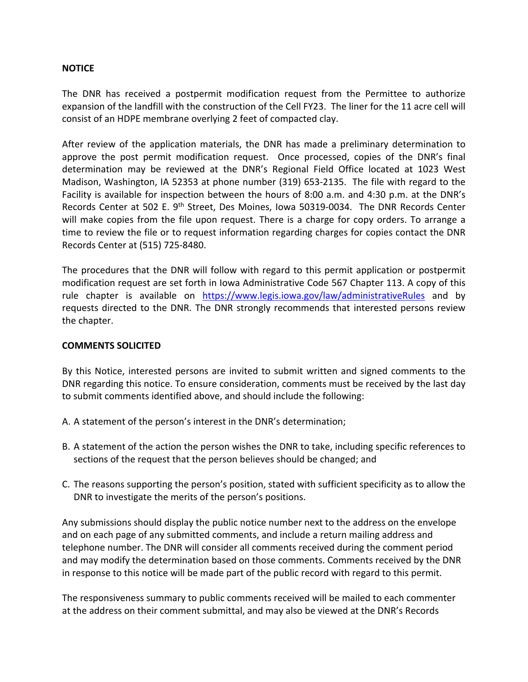#### **NOTICE**

The DNR has received a postpermit modification request from the Permittee to authorize expansion of the landfill with the construction of the Cell FY23. The liner for the 11 acre cell will consist of an HDPE membrane overlying 2 feet of compacted clay.

After review of the application materials, the DNR has made a preliminary determination to approve the post permit modification request. Once processed, copies of the DNR's final determination may be reviewed at the DNR's Regional Field Office located at 1023 West Madison, Washington, IA 52353 at phone number (319) 653‐2135. The file with regard to the Facility is available for inspection between the hours of 8:00 a.m. and 4:30 p.m. at the DNR's Records Center at 502 E. 9<sup>th</sup> Street, Des Moines, Iowa 50319-0034. The DNR Records Center will make copies from the file upon request. There is a charge for copy orders. To arrange a time to review the file or to request information regarding charges for copies contact the DNR Records Center at (515) 725‐8480.

The procedures that the DNR will follow with regard to this permit application or postpermit modification request are set forth in Iowa Administrative Code 567 Chapter 113. A copy of this rule chapter is available on https://www.legis.iowa.gov/law/administrativeRules and by requests directed to the DNR. The DNR strongly recommends that interested persons review the chapter.

#### **COMMENTS SOLICITED**

By this Notice, interested persons are invited to submit written and signed comments to the DNR regarding this notice. To ensure consideration, comments must be received by the last day to submit comments identified above, and should include the following:

- A. A statement of the person's interest in the DNR's determination;
- B. A statement of the action the person wishes the DNR to take, including specific references to sections of the request that the person believes should be changed; and
- C. The reasons supporting the person's position, stated with sufficient specificity as to allow the DNR to investigate the merits of the person's positions.

Any submissions should display the public notice number next to the address on the envelope and on each page of any submitted comments, and include a return mailing address and telephone number. The DNR will consider all comments received during the comment period and may modify the determination based on those comments. Comments received by the DNR in response to this notice will be made part of the public record with regard to this permit.

The responsiveness summary to public comments received will be mailed to each commenter at the address on their comment submittal, and may also be viewed at the DNR's Records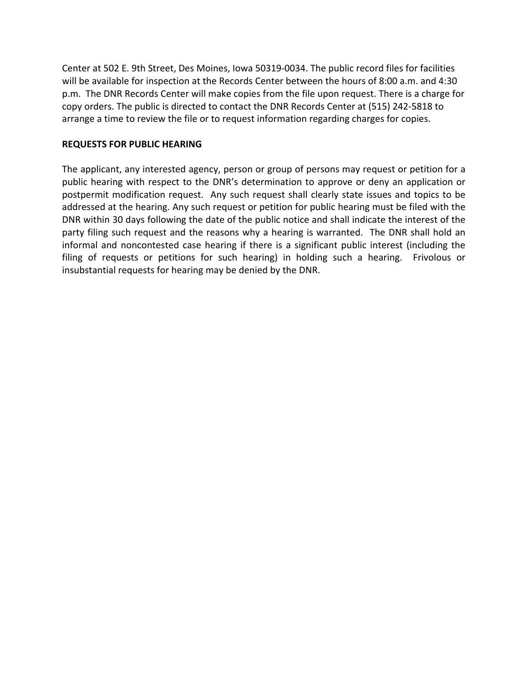Center at 502 E. 9th Street, Des Moines, Iowa 50319‐0034. The public record files for facilities will be available for inspection at the Records Center between the hours of 8:00 a.m. and 4:30 p.m. The DNR Records Center will make copies from the file upon request. There is a charge for copy orders. The public is directed to contact the DNR Records Center at (515) 242‐5818 to arrange a time to review the file or to request information regarding charges for copies.

## **REQUESTS FOR PUBLIC HEARING**

The applicant, any interested agency, person or group of persons may request or petition for a public hearing with respect to the DNR's determination to approve or deny an application or postpermit modification request. Any such request shall clearly state issues and topics to be addressed at the hearing. Any such request or petition for public hearing must be filed with the DNR within 30 days following the date of the public notice and shall indicate the interest of the party filing such request and the reasons why a hearing is warranted. The DNR shall hold an informal and noncontested case hearing if there is a significant public interest (including the filing of requests or petitions for such hearing) in holding such a hearing. Frivolous or insubstantial requests for hearing may be denied by the DNR.